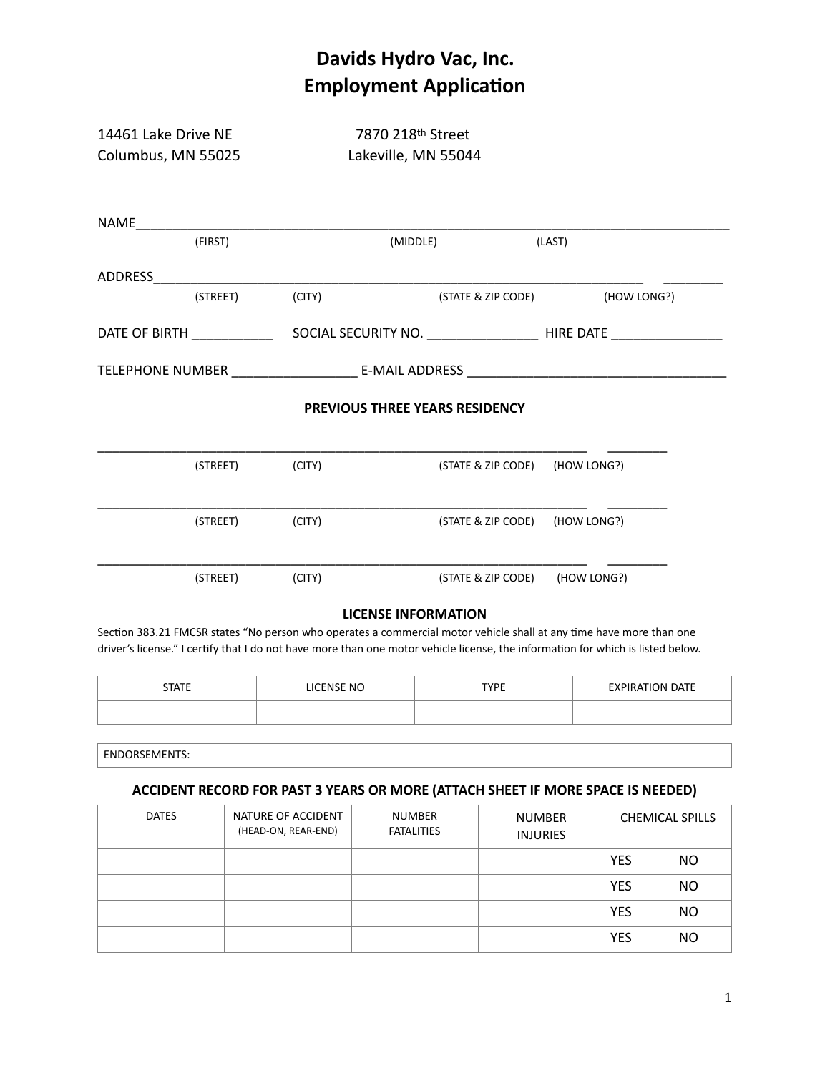| 14461 Lake Drive NE<br>Columbus, MN 55025 |          | 7870 218th Street<br>Lakeville, MN 55044 |                                       |  |                                |  |
|-------------------------------------------|----------|------------------------------------------|---------------------------------------|--|--------------------------------|--|
|                                           |          |                                          |                                       |  |                                |  |
|                                           | (FIRST)  |                                          | (MIDDLE)                              |  | (LAST)                         |  |
|                                           |          |                                          |                                       |  |                                |  |
|                                           | (STREET) | (CITY)                                   | (STATE & ZIP CODE)                    |  | (HOW LONG?)                    |  |
|                                           |          |                                          |                                       |  |                                |  |
|                                           |          |                                          |                                       |  |                                |  |
|                                           |          |                                          | <b>PREVIOUS THREE YEARS RESIDENCY</b> |  |                                |  |
|                                           | (STREET) | (CITY)                                   |                                       |  | (STATE & ZIP CODE) (HOW LONG?) |  |
|                                           | (STREET) | (CITY)                                   |                                       |  | (STATE & ZIP CODE) (HOW LONG?) |  |
|                                           | (STREET) | (CITY)                                   |                                       |  | (STATE & ZIP CODE) (HOW LONG?) |  |

### **LICENSE INFORMATION**

Section 383.21 FMCSR states "No person who operates a commercial motor vehicle shall at any time have more than one driver's license." I certify that I do not have more than one motor vehicle license, the information for which is listed below.

| <b>STATE</b> | <b>LICENSE NO</b> | <b>TYPE</b> | <b>EXPIRATION DATE</b> |
|--------------|-------------------|-------------|------------------------|
|              |                   |             |                        |

ENDORSEMENTS:

#### **ACCIDENT RECORD FOR PAST 3 YEARS OR MORE (ATTACH SHEET IF MORE SPACE IS NEEDED)**

| <b>DATES</b> | NATURE OF ACCIDENT<br>(HEAD-ON, REAR-END) | <b>NUMBER</b><br><b>FATALITIES</b> | <b>NUMBER</b><br><b>INJURIES</b> |            | <b>CHEMICAL SPILLS</b> |
|--------------|-------------------------------------------|------------------------------------|----------------------------------|------------|------------------------|
|              |                                           |                                    |                                  | <b>YES</b> | NO.                    |
|              |                                           |                                    |                                  | <b>YES</b> | <b>NO</b>              |
|              |                                           |                                    |                                  | <b>YES</b> | <b>NO</b>              |
|              |                                           |                                    |                                  | <b>YES</b> | <b>NO</b>              |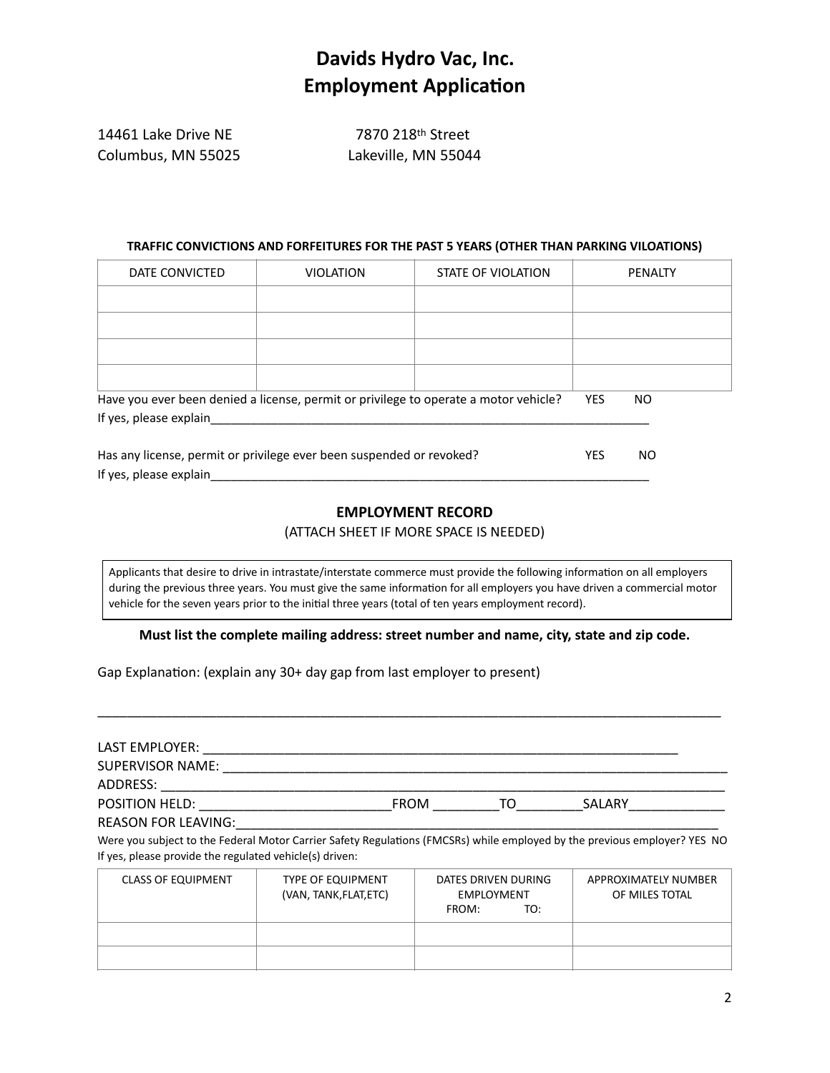| 14461 Lake Drive NE | 7870 218th Street   |
|---------------------|---------------------|
| Columbus, MN 55025  | Lakeville, MN 55044 |

#### **TRAFFIC CONVICTIONS AND FORFEITURES FOR THE PAST 5 YEARS (OTHER THAN PARKING VILOATIONS)**

| DATE CONVICTED                                                       | <b>VIOLATION</b>                                                                     | STATE OF VIOLATION |            | <b>PENALTY</b> |
|----------------------------------------------------------------------|--------------------------------------------------------------------------------------|--------------------|------------|----------------|
|                                                                      |                                                                                      |                    |            |                |
|                                                                      |                                                                                      |                    |            |                |
|                                                                      |                                                                                      |                    |            |                |
|                                                                      |                                                                                      |                    |            |                |
|                                                                      | Have you ever been denied a license, permit or privilege to operate a motor vehicle? |                    | <b>YES</b> | NO.            |
| If yes, please explain                                               |                                                                                      |                    |            |                |
|                                                                      |                                                                                      |                    |            |                |
| Has any license, permit or privilege ever been suspended or revoked? |                                                                                      |                    | <b>YES</b> | NO.            |
| If yes, please explain                                               |                                                                                      |                    |            |                |

#### **EMPLOYMENT RECORD**

#### (ATTACH SHEET IF MORE SPACE IS NEEDED)

Applicants that desire to drive in intrastate/interstate commerce must provide the following information on all employers during the previous three years. You must give the same information for all employers you have driven a commercial motor vehicle for the seven years prior to the initial three years (total of ten years employment record).

**Must list the complete mailing address: street number and name, city, state and zip code.**

\_\_\_\_\_\_\_\_\_\_\_\_\_\_\_\_\_\_\_\_\_\_\_\_\_\_\_\_\_\_\_\_\_\_\_\_\_\_\_\_\_\_\_\_\_\_\_\_\_\_\_\_\_\_\_\_\_\_\_\_\_\_\_\_\_\_\_\_\_\_\_\_\_\_\_\_\_\_\_\_\_\_\_\_

Gap Explanation: (explain any 30+ day gap from last employer to present)

| LAST EMPLOYER:                                          |                                                    |             |                                                 |                                                                                                                           |
|---------------------------------------------------------|----------------------------------------------------|-------------|-------------------------------------------------|---------------------------------------------------------------------------------------------------------------------------|
| <b>SUPERVISOR NAME:</b>                                 |                                                    |             |                                                 |                                                                                                                           |
| ADDRESS:                                                |                                                    |             |                                                 |                                                                                                                           |
| POSITION HELD:                                          |                                                    | <b>FROM</b> | TO.                                             | SALARY                                                                                                                    |
| <b>REASON FOR LEAVING:</b>                              |                                                    |             |                                                 |                                                                                                                           |
| If yes, please provide the regulated vehicle(s) driven: |                                                    |             |                                                 | Were you subject to the Federal Motor Carrier Safety Regulations (FMCSRs) while employed by the previous employer? YES NO |
| <b>CLASS OF EQUIPMENT</b>                               | <b>TYPE OF EQUIPMENT</b><br>(VAN, TANK, FLAT, ETC) | FROM:       | DATES DRIVEN DURING<br><b>EMPLOYMENT</b><br>TO: | APPROXIMATELY NUMBER<br>OF MILES TOTAL                                                                                    |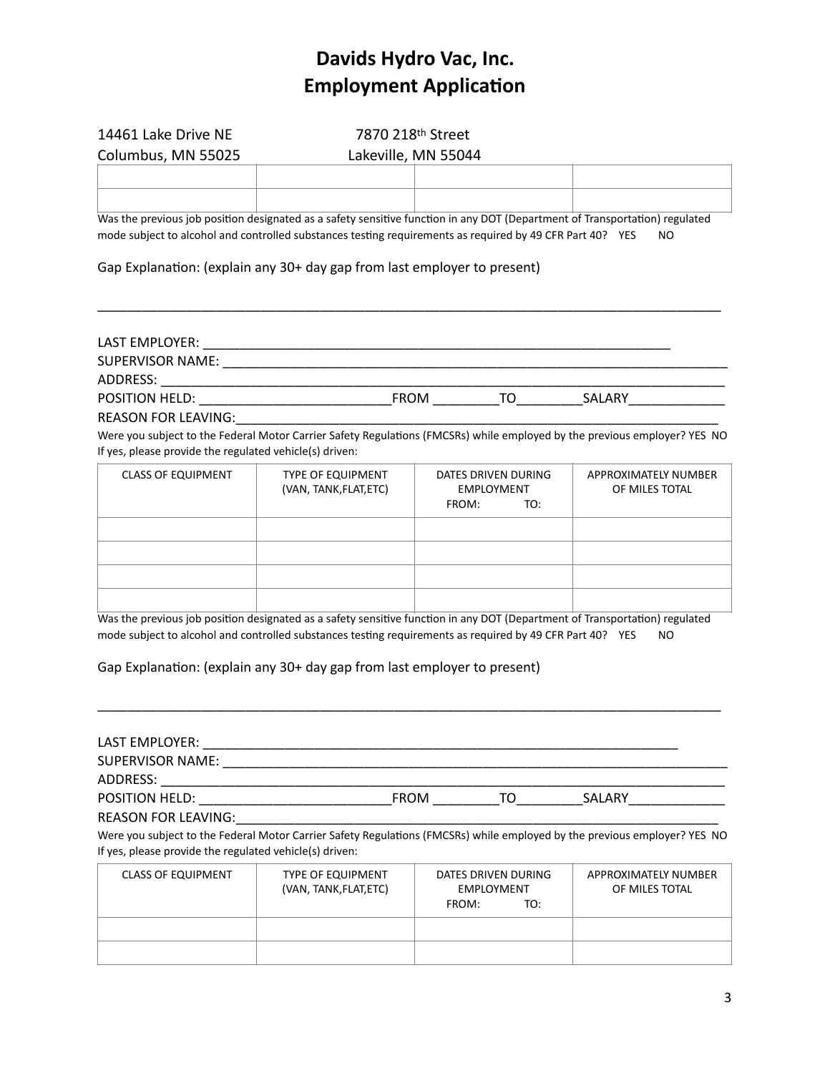| 14461 Lake Drive NE                                                                                                         | 7870 218th Street   |  |  |  |
|-----------------------------------------------------------------------------------------------------------------------------|---------------------|--|--|--|
| Columbus, MN 55025                                                                                                          | Lakeville, MN 55044 |  |  |  |
|                                                                                                                             |                     |  |  |  |
|                                                                                                                             |                     |  |  |  |
| Was the previous job position designated as a safety sensitive function in any DOT (Department of Transportation) regulated |                     |  |  |  |

mode subject to alcohol and controlled substances testing requirements as required by 49 CFR Part 40? YES NO

Gap Explanation: (explain any 30+ day gap from last employer to present)

### LAST EMPLOYER: \_\_\_\_\_\_\_\_\_\_\_\_\_\_\_\_\_\_\_\_\_\_\_\_\_\_\_\_\_\_\_\_\_\_\_\_\_\_\_\_\_\_\_\_\_\_\_\_\_\_\_\_\_\_\_\_\_\_\_\_\_\_\_ SUPERVISOR NAME: \_\_\_\_\_\_\_\_\_\_\_\_\_\_\_\_\_\_\_\_\_\_\_\_\_\_\_\_\_\_\_\_\_\_\_\_\_\_\_\_\_\_\_\_\_\_\_\_\_\_\_\_\_\_\_\_\_\_\_\_\_\_\_\_\_\_\_\_ ADDRESS: \_\_\_\_\_\_\_\_\_\_\_\_\_\_\_\_\_\_\_\_\_\_\_\_\_\_\_\_\_\_\_\_\_\_\_\_\_\_\_\_\_\_\_\_\_\_\_\_\_\_\_\_\_\_\_\_\_\_\_\_\_\_\_\_\_\_\_\_\_\_\_\_\_\_\_\_ POSITION HELD: \_\_\_\_\_\_\_\_\_\_\_\_\_\_\_\_\_\_\_\_\_\_\_\_\_\_FROM \_\_\_\_\_\_\_\_\_TO\_\_\_\_\_\_\_\_\_SALARY\_\_\_\_\_\_\_\_\_\_\_\_\_

\_\_\_\_\_\_\_\_\_\_\_\_\_\_\_\_\_\_\_\_\_\_\_\_\_\_\_\_\_\_\_\_\_\_\_\_\_\_\_\_\_\_\_\_\_\_\_\_\_\_\_\_\_\_\_\_\_\_\_\_\_\_\_\_\_\_\_\_\_\_\_\_\_\_\_\_\_\_\_\_\_\_\_\_

REASON FOR LEAVING:\_\_\_\_\_\_\_\_\_\_\_\_\_\_\_\_\_\_\_\_\_\_\_\_\_\_\_\_\_\_\_\_\_\_\_\_\_\_\_\_\_\_\_\_\_\_\_\_\_\_\_\_\_\_\_\_\_\_\_\_\_\_\_\_\_

Were you subject to the Federal Motor Carrier Safety Regulations (FMCSRs) while employed by the previous employer? YES NO If yes, please provide the regulated vehicle(s) driven:

| <b>CLASS OF EQUIPMENT</b> | <b>TYPE OF EQUIPMENT</b><br>(VAN, TANK, FLAT, ETC) | DATES DRIVEN DURING<br><b>EMPLOYMENT</b><br>TO:<br>FROM: | APPROXIMATELY NUMBER<br>OF MILES TOTAL |
|---------------------------|----------------------------------------------------|----------------------------------------------------------|----------------------------------------|
|                           |                                                    |                                                          |                                        |
|                           |                                                    |                                                          |                                        |
|                           |                                                    |                                                          |                                        |
|                           |                                                    |                                                          |                                        |

Was the previous job position designated as a safety sensitive function in any DOT (Department of Transportation) regulated mode subject to alcohol and controlled substances testing requirements as required by 49 CFR Part 40? YES NO

\_\_\_\_\_\_\_\_\_\_\_\_\_\_\_\_\_\_\_\_\_\_\_\_\_\_\_\_\_\_\_\_\_\_\_\_\_\_\_\_\_\_\_\_\_\_\_\_\_\_\_\_\_\_\_\_\_\_\_\_\_\_\_\_\_\_\_\_\_\_\_\_\_\_\_\_\_\_\_\_\_\_\_\_

Gap Explanation: (explain any 30+ day gap from last employer to present)

| LAST EMPLOYER:                                          |                                                    |             |                                                 |                                                                                                                           |
|---------------------------------------------------------|----------------------------------------------------|-------------|-------------------------------------------------|---------------------------------------------------------------------------------------------------------------------------|
| <b>SUPERVISOR NAME:</b>                                 |                                                    |             |                                                 |                                                                                                                           |
| ADDRESS:                                                |                                                    |             |                                                 |                                                                                                                           |
| <b>POSITION HELD:</b>                                   |                                                    | <b>FROM</b> | TO.                                             | SALARY                                                                                                                    |
| <b>REASON FOR LEAVING:</b>                              |                                                    |             |                                                 |                                                                                                                           |
|                                                         |                                                    |             |                                                 | Were you subject to the Federal Motor Carrier Safety Regulations (FMCSRs) while employed by the previous employer? YES NO |
| If yes, please provide the regulated vehicle(s) driven: |                                                    |             |                                                 |                                                                                                                           |
| <b>CLASS OF EQUIPMENT</b>                               | <b>TYPE OF EQUIPMENT</b><br>(VAN, TANK, FLAT, ETC) | FROM:       | DATES DRIVEN DURING<br><b>EMPLOYMENT</b><br>TO: | APPROXIMATELY NUMBER<br>OF MILES TOTAL                                                                                    |
|                                                         |                                                    |             |                                                 |                                                                                                                           |
|                                                         |                                                    |             |                                                 |                                                                                                                           |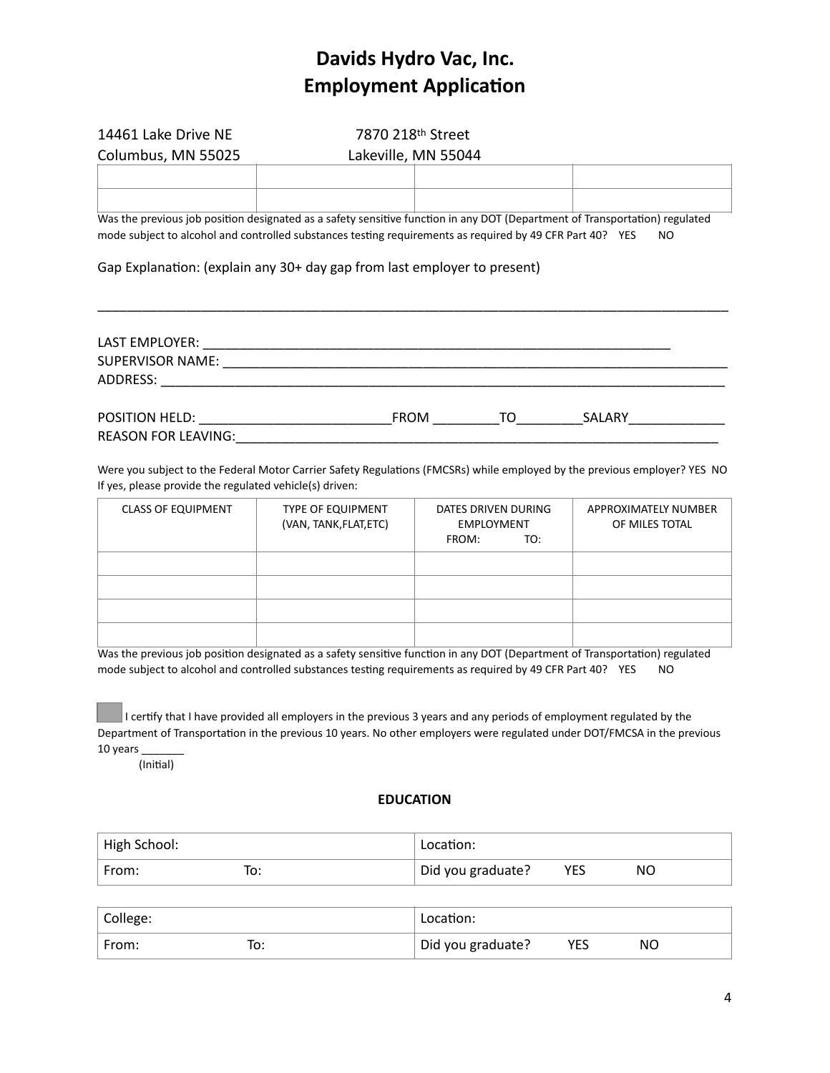| 14461 Lake Drive NE<br>Columbus, MN 55025                                                                                                                                                                                                                                                                                   | 7870 218 <sup>th</sup> Street<br>Lakeville, MN 55044 |  |  |  |  |  |
|-----------------------------------------------------------------------------------------------------------------------------------------------------------------------------------------------------------------------------------------------------------------------------------------------------------------------------|------------------------------------------------------|--|--|--|--|--|
|                                                                                                                                                                                                                                                                                                                             |                                                      |  |  |  |  |  |
| Was the previous job position designated as a safety sensitive function in any DOT (Department of Transportation) regulated<br>mode subject to alcohol and controlled substances testing requirements as required by 49 CFR Part 40? YES<br>NO.<br>Gap Explanation: (explain any 30+ day gap from last employer to present) |                                                      |  |  |  |  |  |
| LAST EMPLOYER:                                                                                                                                                                                                                                                                                                              |                                                      |  |  |  |  |  |

| _ _ _ _ _ _ _ _ _ _ _ _ _ _ _ |             |    |        |  |
|-------------------------------|-------------|----|--------|--|
| SUPERVISOR NAME:              |             |    |        |  |
| ADDRESS:                      |             |    |        |  |
|                               |             |    |        |  |
| <b>POSITION HELD:</b>         | <b>FROM</b> | TΩ | SALARY |  |
| <b>REASON FOR LEAVING:</b>    |             |    |        |  |

Were you subject to the Federal Motor Carrier Safety Regulations (FMCSRs) while employed by the previous employer? YES NO If yes, please provide the regulated vehicle(s) driven:

| <b>CLASS OF EQUIPMENT</b> | <b>TYPE OF EQUIPMENT</b><br>(VAN, TANK, FLAT, ETC) | DATES DRIVEN DURING<br><b>EMPLOYMENT</b><br>TO:<br>FROM: | APPROXIMATELY NUMBER<br>OF MILES TOTAL |
|---------------------------|----------------------------------------------------|----------------------------------------------------------|----------------------------------------|
|                           |                                                    |                                                          |                                        |
|                           |                                                    |                                                          |                                        |
|                           |                                                    |                                                          |                                        |
|                           |                                                    |                                                          |                                        |

Was the previous job position designated as a safety sensitive function in any DOT (Department of Transportation) regulated mode subject to alcohol and controlled substances testing requirements as required by 49 CFR Part 40? YES NO

I certify that I have provided all employers in the previous 3 years and any periods of employment regulated by the Department of Transportation in the previous 10 years. No other employers were regulated under DOT/FMCSA in the previous 10 years \_\_\_\_\_\_\_

(Initial)

#### **EDUCATION**

| High School: | Location:         |            |    |
|--------------|-------------------|------------|----|
| From:        | Did you graduate? | <b>YES</b> | ΝC |

| College: |          | Location:         |     |    |
|----------|----------|-------------------|-----|----|
| From:    | ℡<br>ιv. | Did you graduate? | YES | ΝC |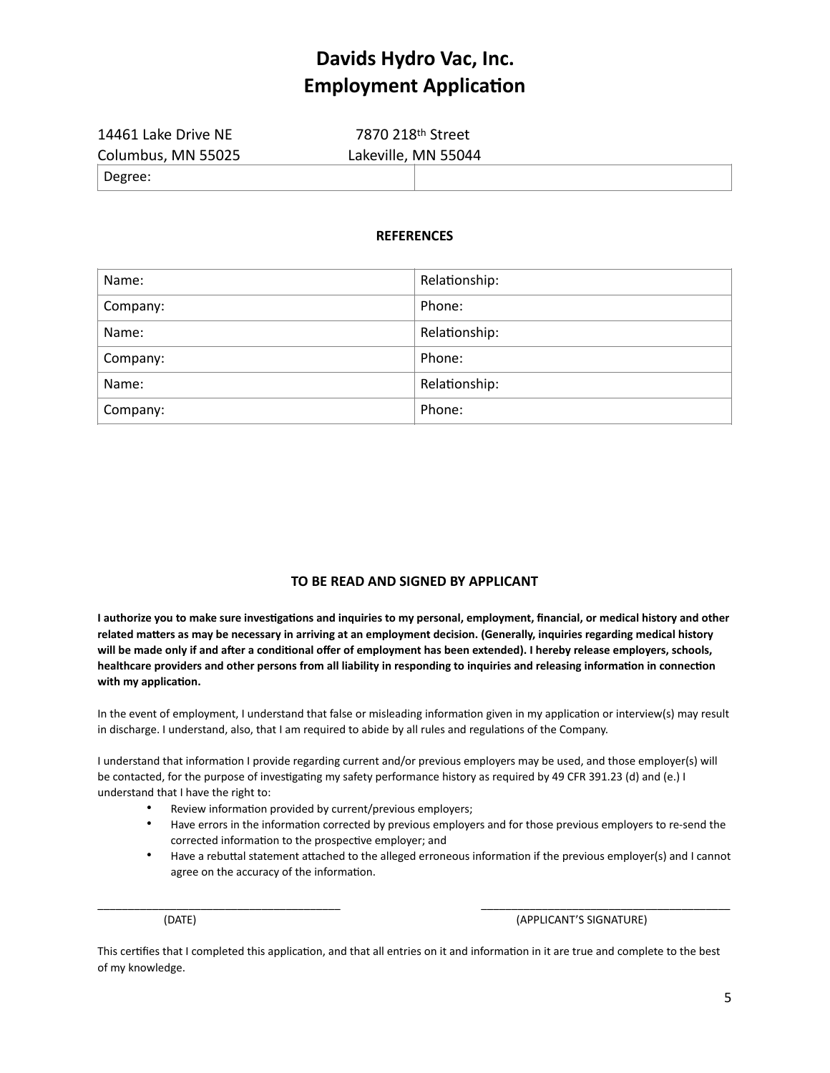| 14461 Lake Drive NE | 7870 218th Street   |
|---------------------|---------------------|
| Columbus, MN 55025  | Lakeville, MN 55044 |
| $\vert$ Degree:     |                     |

#### **REFERENCES**

| Name:    | Relationship: |
|----------|---------------|
| Company: | Phone:        |
| Name:    | Relationship: |
| Company: | Phone:        |
| Name:    | Relationship: |
| Company: | Phone:        |

#### **TO BE READ AND SIGNED BY APPLICANT**

**I authorize you to make sure investigations and inquiries to my personal, employment, financial, or medical history and other related matters as may be necessary in arriving at an employment decision. (Generally, inquiries regarding medical history will be made only if and after a conditional offer of employment has been extended). I hereby release employers, schools, healthcare providers and other persons from all liability in responding to inquiries and releasing information in connection with my application.**

In the event of employment, I understand that false or misleading information given in my application or interview(s) may result in discharge. I understand, also, that I am required to abide by all rules and regulations of the Company.

I understand that information I provide regarding current and/or previous employers may be used, and those employer(s) will be contacted, for the purpose of investigating my safety performance history as required by 49 CFR 391.23 (d) and (e.) I understand that I have the right to:

- Review information provided by current/previous employers;
- Have errors in the information corrected by previous employers and for those previous employers to re-send the corrected information to the prospective employer; and
- Have a rebuttal statement attached to the alleged erroneous information if the previous employer(s) and I cannot agree on the accuracy of the information.

(DATE) (APPLICANT'S SIGNATURE)

This certifies that I completed this application, and that all entries on it and information in it are true and complete to the best of my knowledge.

\_\_\_\_\_\_\_\_\_\_\_\_\_\_\_\_\_\_\_\_\_\_\_\_\_\_\_\_\_\_\_\_\_\_\_\_\_\_\_\_ \_\_\_\_\_\_\_\_\_\_\_\_\_\_\_\_\_\_\_\_\_\_\_\_\_\_\_\_\_\_\_\_\_\_\_\_\_\_\_\_\_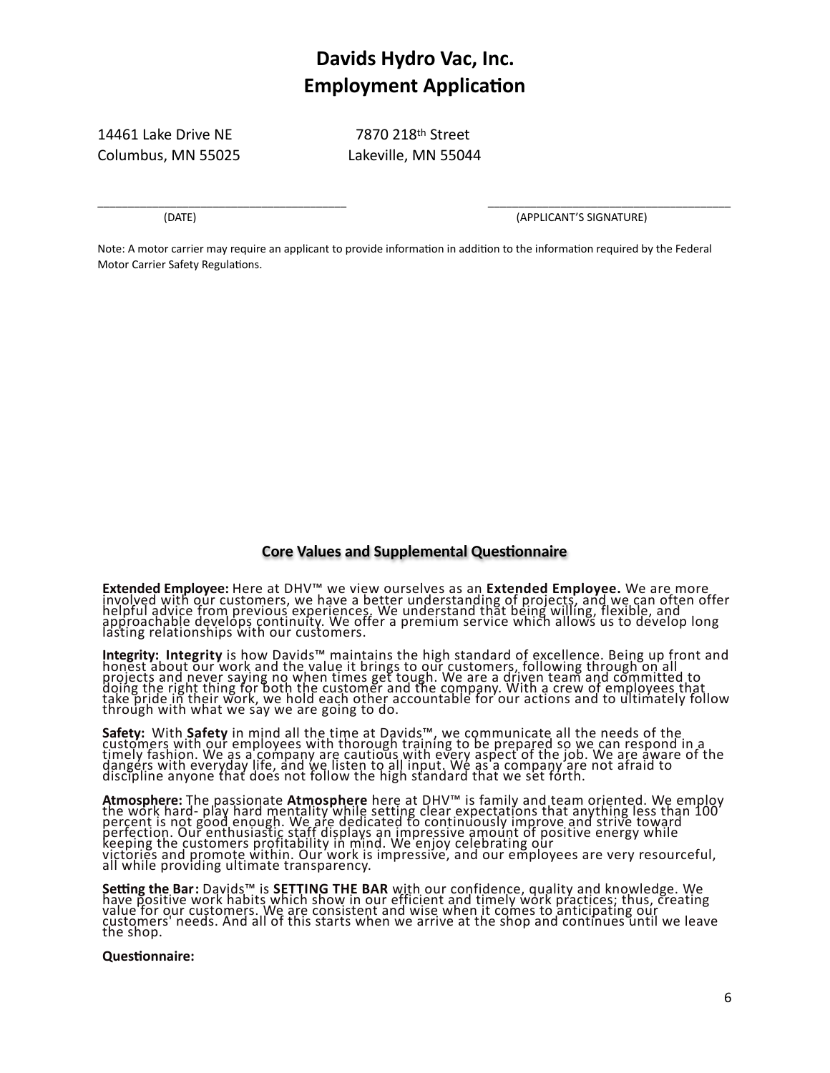14461 Lake Drive NE 7870 218th Street Columbus, MN 55025 Lakeville, MN 55044

\_\_\_\_\_\_\_\_\_\_\_\_\_\_\_\_\_\_\_\_\_\_\_\_\_\_\_\_\_\_\_\_\_\_\_\_\_\_\_\_\_ \_\_\_\_\_\_\_\_\_\_\_\_\_\_\_\_\_\_\_\_\_\_\_\_\_\_\_\_\_\_\_\_\_\_\_\_\_\_\_\_

(DATE) (APPLICANT'S SIGNATURE)

Note: A motor carrier may require an applicant to provide information in addition to the information required by the Federal Motor Carrier Safety Regulations.

#### **Core Values and Supplemental Questionnaire**

**Extended Employee:** Here at DHV™ we view ourselves as an **Extended Employee.** We are more involved with our customers, we have a better understanding of projects, and we can often offer helpful advice from previous experiences. We understand that being willing, flexible, and approachable develops continuity. We offer a premium service which allows us to develop long lasting relationships with our customers.

**Integrity: Integrity** is how Davids™ maintains the high standard of excellence. Being up front and<br>honest about our work and the value it brings to our customers, following through on all projects and never saying no when times get tough. We are a driven team and committed to doing the right thing for both the customer and the company. With a crew of employees that take pride in their work, we hold each other accountable for our actions and to ultimately follow through with what we say we are going to do.

**Safety:** With **Safety** in mind all the time at Davids™, we communicate all the needs of the<br>customers with our employees with thorough training to be prepared so we can respond in a timely fashion. We as a company are cautious with every aspect of the job. We are aware of the dangers with everyday life, and we listen to all input. We as a company are not afraid to discipline anyone that does not follow the high standard that we set forth.

**Atmosphere:** The passionate **Atmosphere** here at DHV™ is family and team oriented. We employ<br>the work hard- play hard mentality while setting clear expectations that anything less than 100 percent is not good enough. We are dedicated to continuously improve and strive toward perfection. Our enthusiastic staff displays an impressive amount of positive energy while keeping the customers profitability in mind. We enjoy celebrating our victories and promote within. Our work is impressive, and our employees are very resourceful, all while providing ultimate transparency.

**Setting the Bar:** Davids™ is **SETTING THE BAR** with our confidence, quality and knowledge. We<br>have positive work habits which show in our efficient and timely work practices; thus, creating value for our customers. We are consistent and wise when it comes to anticipating our customers' needs. And all of this starts when we arrive at the shop and continues until we leave the shop.

#### **Questionnaire:**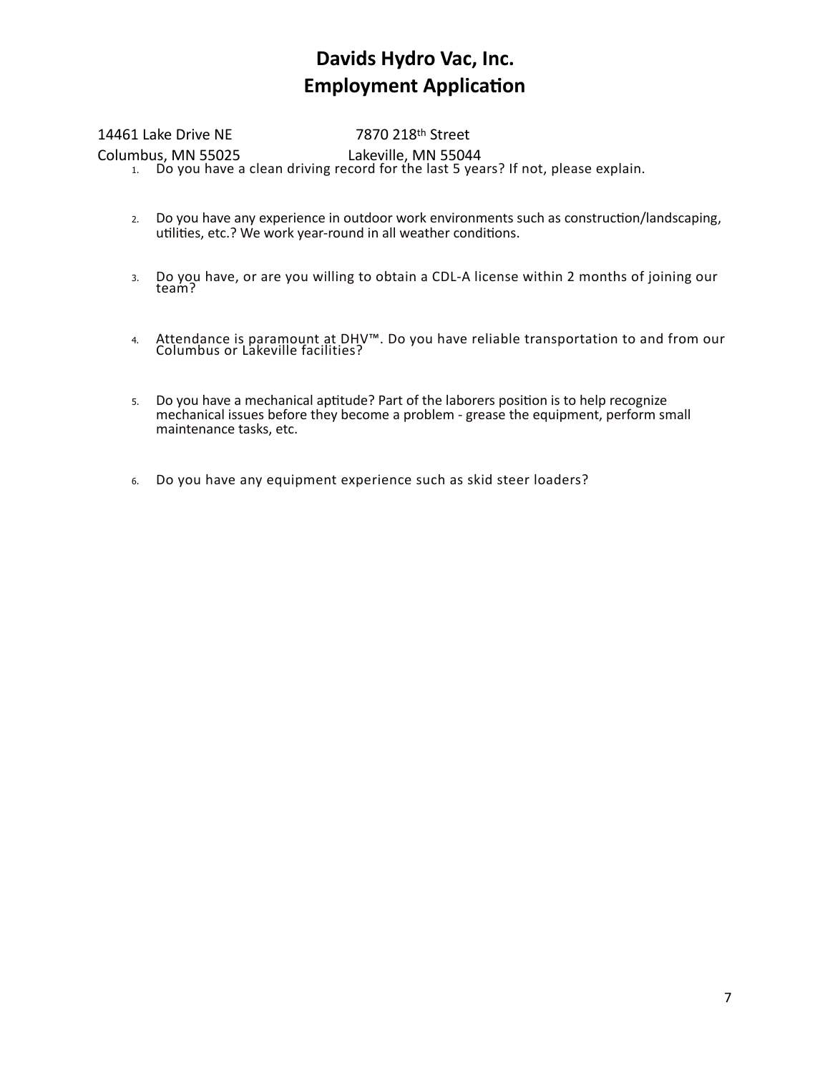### 14461 Lake Drive NE 7870 218th Street

Columbus, MN 55025 Lakeville, MN 55044 1. Do you have a clean driving record for the last 5 years? If not, please explain.

- 2. Do you have any experience in outdoor work environments such as construction/landscaping, utilities, etc.? We work year-round in all weather conditions.
- 3. Do you have, or are you willing to obtain a CDL-A license within 2 months of joining our team?
- 4. Attendance is paramount at DHV™. Do you have reliable transportation to and from our Columbus or Lakeville facilities?
- 5. Do you have a mechanical aptitude? Part of the laborers position is to help recognize mechanical issues before they become a problem - grease the equipment, perform small maintenance tasks, etc.
- 6. Do you have any equipment experience such as skid steer loaders?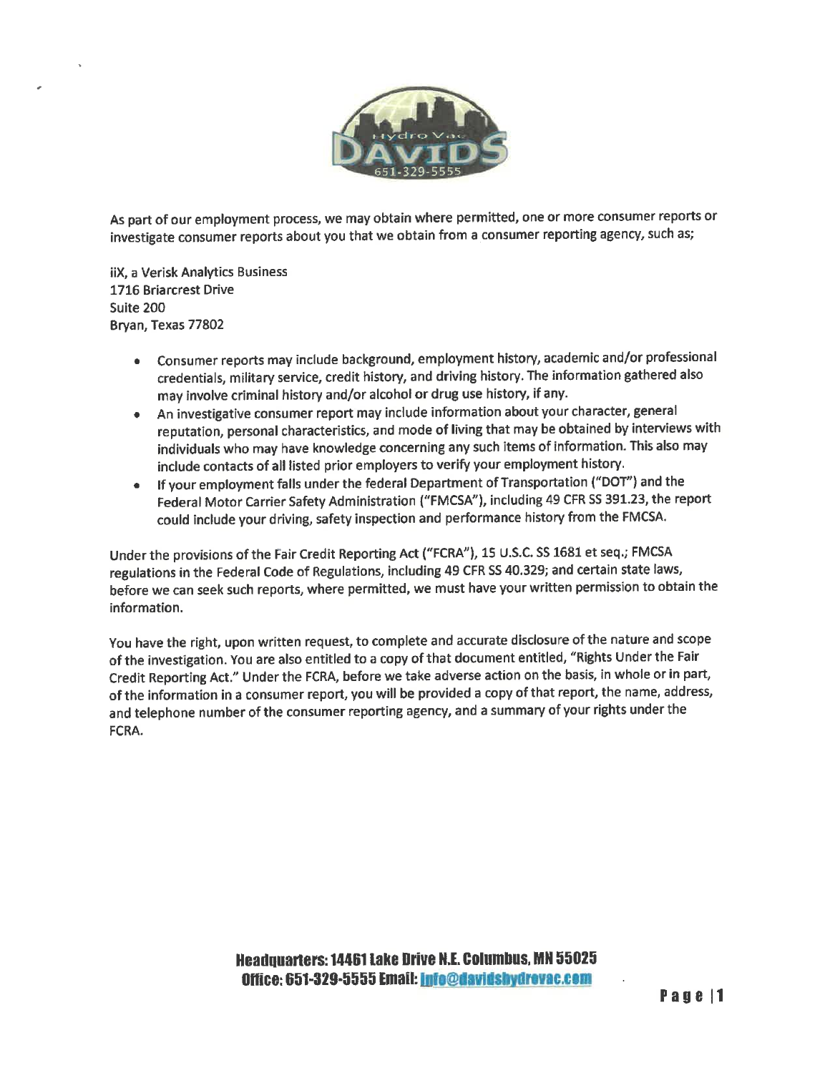

As part of our employment process, we may obtain where permitted, one or more consumer reports or investigate consumer reports about you that we obtain from a consumer reporting agency, such as;

iiX. a Verisk Analytics Business 1716 Briarcrest Drive Suite 200 Bryan, Texas 77802

- Consumer reports may include background, employment history, academic and/or professional credentials, military service, credit history, and driving history. The information gathered also may involve criminal history and/or alcohol or drug use history, if any.
- An investigative consumer report may include information about your character, general reputation, personal characteristics, and mode of living that may be obtained by interviews with individuals who may have knowledge concerning any such items of information. This also may include contacts of all listed prior employers to verify your employment history.
- If your employment falls under the federal Department of Transportation ("DOT") and the  $\bullet$ Federal Motor Carrier Safety Administration ("FMCSA"), including 49 CFR SS 391.23, the report could include your driving, safety inspection and performance history from the FMCSA.

Under the provisions of the Fair Credit Reporting Act ("FCRA"), 15 U.S.C. SS 1681 et seq.; FMCSA regulations in the Federal Code of Regulations, including 49 CFR SS 40.329; and certain state laws, before we can seek such reports, where permitted, we must have your written permission to obtain the information.

You have the right, upon written request, to complete and accurate disclosure of the nature and scope of the investigation. You are also entitled to a copy of that document entitled, "Rights Under the Fair Credit Reporting Act." Under the FCRA, before we take adverse action on the basis, in whole or in part, of the information in a consumer report, you will be provided a copy of that report, the name, address, and telephone number of the consumer reporting agency, and a summary of your rights under the FCRA.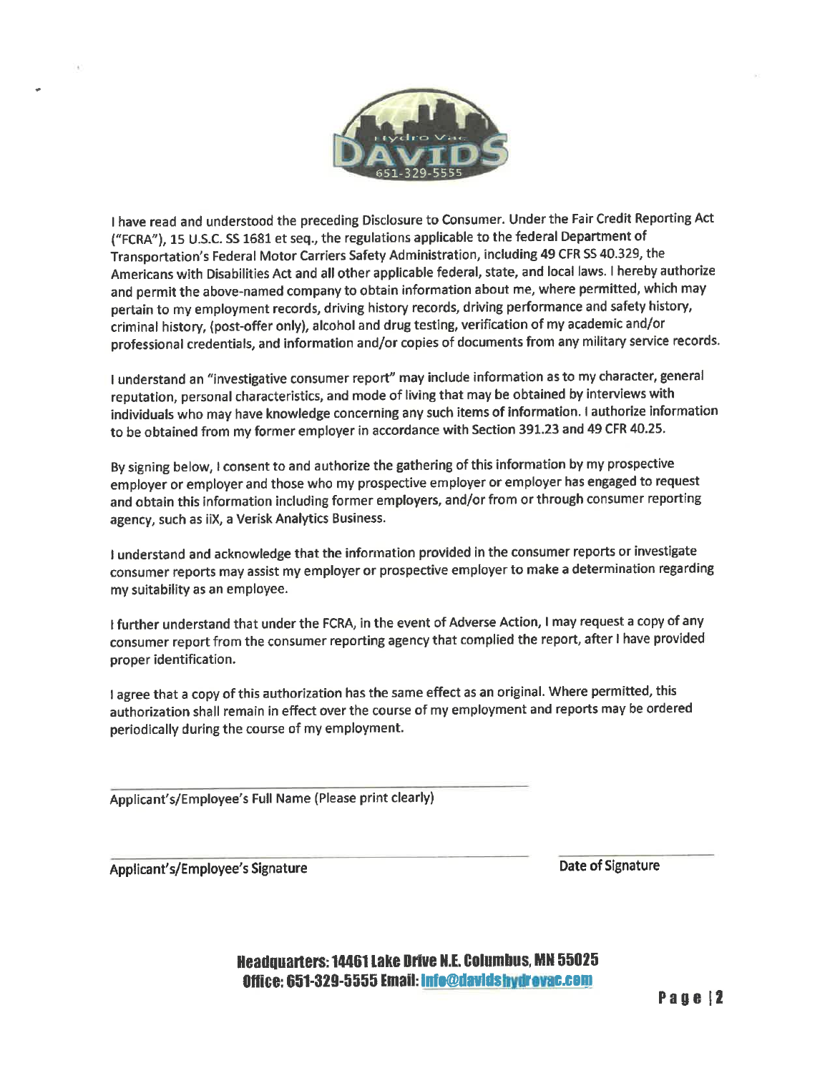

I have read and understood the preceding Disclosure to Consumer. Under the Fair Credit Reporting Act ("FCRA"), 15 U.S.C. SS 1681 et seq., the regulations applicable to the federal Department of Transportation's Federal Motor Carriers Safety Administration, including 49 CFR SS 40.329, the Americans with Disabilities Act and all other applicable federal, state, and local laws. I hereby authorize and permit the above-named company to obtain information about me, where permitted, which may pertain to my employment records, driving history records, driving performance and safety history, criminal history, (post-offer only), alcohol and drug testing, verification of my academic and/or professional credentials, and information and/or copies of documents from any military service records.

I understand an "investigative consumer report" may include information as to my character, general reputation, personal characteristics, and mode of living that may be obtained by interviews with individuals who may have knowledge concerning any such items of information. I authorize information to be obtained from my former employer in accordance with Section 391.23 and 49 CFR 40.25.

By signing below, I consent to and authorize the gathering of this information by my prospective employer or employer and those who my prospective employer or employer has engaged to request and obtain this information including former employers, and/or from or through consumer reporting agency, such as iiX, a Verisk Analytics Business.

I understand and acknowledge that the information provided in the consumer reports or investigate consumer reports may assist my employer or prospective employer to make a determination regarding my suitability as an employee.

I further understand that under the FCRA, in the event of Adverse Action, I may request a copy of any consumer report from the consumer reporting agency that complied the report, after I have provided proper identification.

I agree that a copy of this authorization has the same effect as an original. Where permitted, this authorization shall remain in effect over the course of my employment and reports may be ordered periodically during the course of my employment.

Applicant's/Employee's Full Name (Please print clearly)

Applicant's/Employee's Signature

Date of Signature

**Headquarters: 14461 Lake Drive N.E. Columbus, MN 55025** Office: 651-329-5555 Email: info@davidshydrovac.com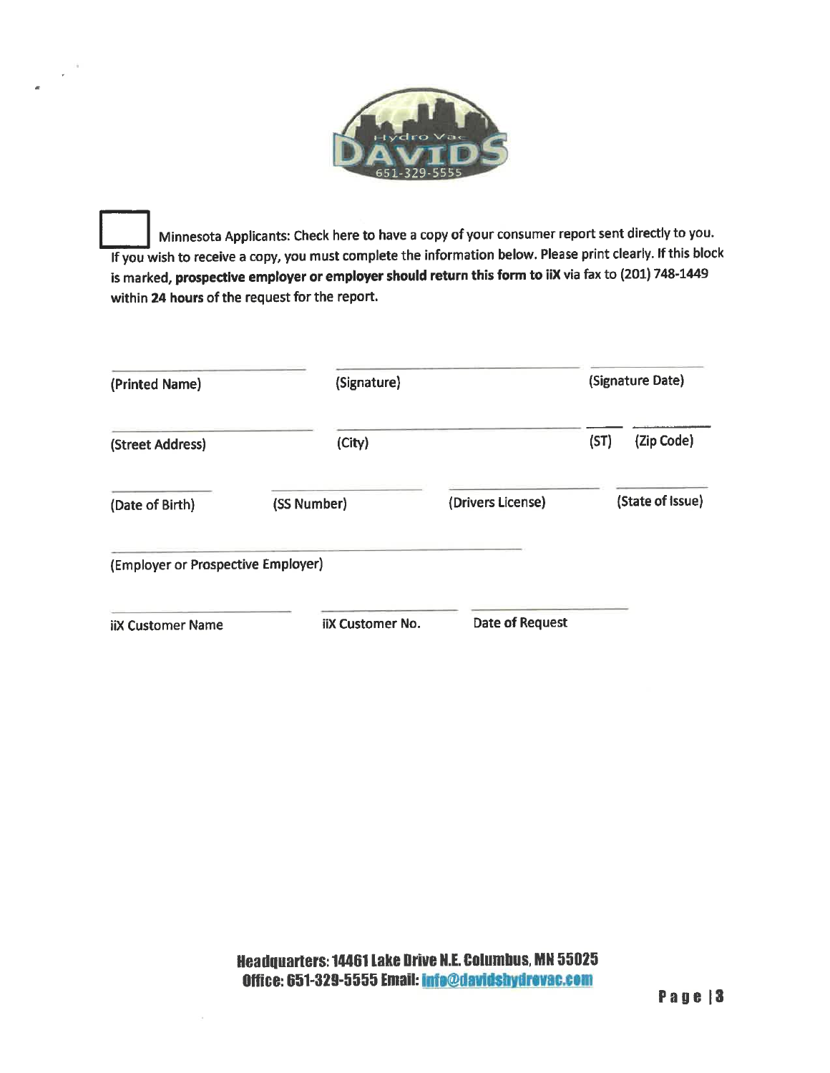

Minnesota Applicants: Check here to have a copy of your consumer report sent directly to you. If you wish to receive a copy, you must complete the information below. Please print clearly. If this block is marked, prospective employer or employer should return this form to iiX via fax to (201) 748-1449 within 24 hours of the request for the report.

| (Printed Name)                     | (Signature)             |                   |      | (Signature Date) |  |
|------------------------------------|-------------------------|-------------------|------|------------------|--|
| (Street Address)                   | (City)                  |                   | (ST) | (Zip Code)       |  |
| (Date of Birth)                    | (SS Number)             | (Drivers License) |      | (State of Issue) |  |
| (Employer or Prospective Employer) |                         |                   |      |                  |  |
| <b>iiX Customer Name</b>           | <b>iiX Customer No.</b> | Date of Request   |      |                  |  |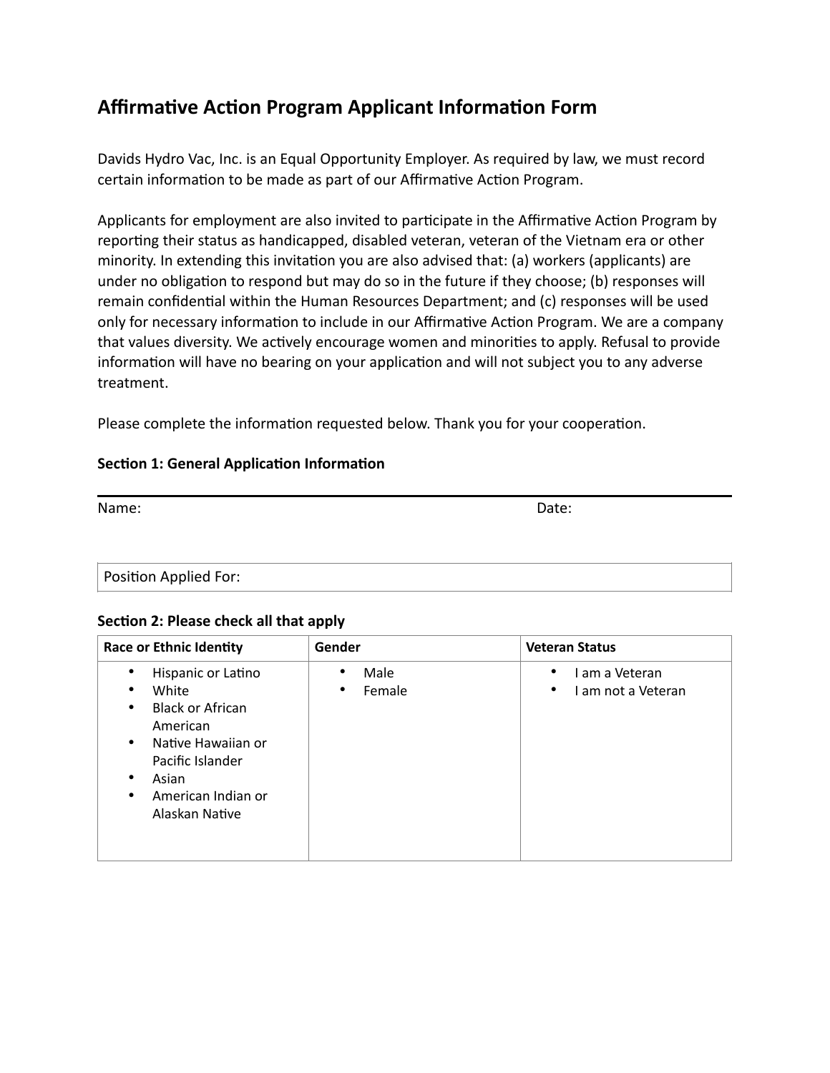### **Affirmative Action Program Applicant Information Form**

Davids Hydro Vac, Inc. is an Equal Opportunity Employer. As required by law, we must record certain information to be made as part of our Affirmative Action Program.

Applicants for employment are also invited to participate in the Affirmative Action Program by reporting their status as handicapped, disabled veteran, veteran of the Vietnam era or other minority. In extending this invitation you are also advised that: (a) workers (applicants) are under no obligation to respond but may do so in the future if they choose; (b) responses will remain confidential within the Human Resources Department; and (c) responses will be used only for necessary information to include in our Affirmative Action Program. We are a company that values diversity. We actively encourage women and minorities to apply. Refusal to provide information will have no bearing on your application and will not subject you to any adverse treatment.

Please complete the information requested below. Thank you for your cooperation.

### **Section 1: General Application Information**

Name: Date:

Position Applied For:

### **Section 2: Please check all that apply**

| <b>Race or Ethnic Identity</b>                                                                                                                                                                      | Gender                                   | <b>Veteran Status</b>                        |
|-----------------------------------------------------------------------------------------------------------------------------------------------------------------------------------------------------|------------------------------------------|----------------------------------------------|
| Hispanic or Latino<br>٠<br>White<br>٠<br><b>Black or African</b><br>٠<br>American<br>Native Hawaiian or<br>$\bullet$<br>Pacific Islander<br>Asian<br>٠<br>American Indian or<br>٠<br>Alaskan Native | Male<br>$\bullet$<br>Female<br>$\bullet$ | am a Veteran<br>٠<br>I am not a Veteran<br>٠ |